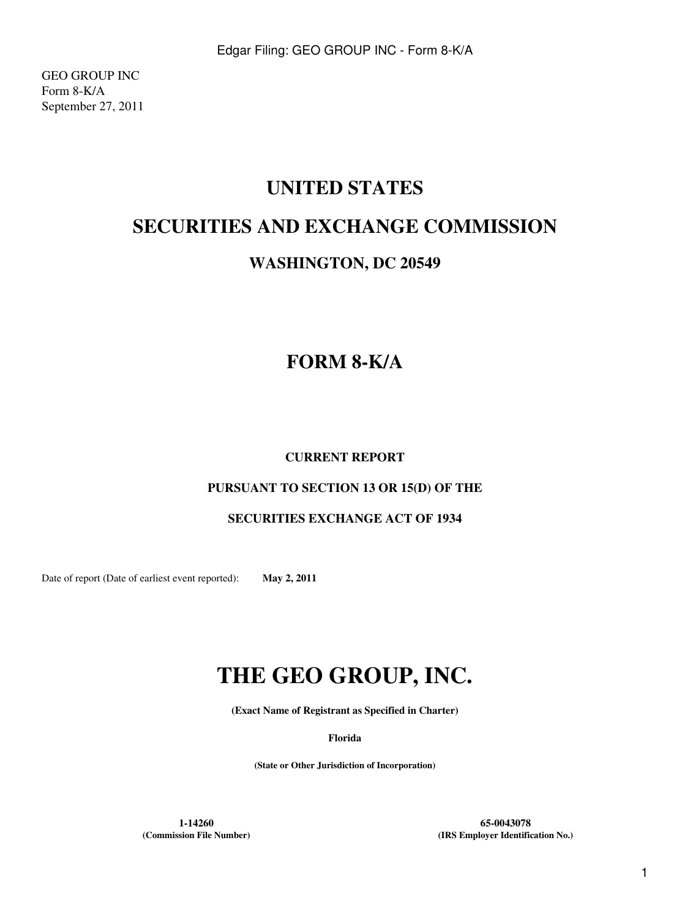GEO GROUP INC Form 8-K/A September 27, 2011

# **UNITED STATES**

# **SECURITIES AND EXCHANGE COMMISSION**

## **WASHINGTON, DC 20549**

# **FORM 8-K/A**

### **CURRENT REPORT**

### **PURSUANT TO SECTION 13 OR 15(D) OF THE**

### **SECURITIES EXCHANGE ACT OF 1934**

Date of report (Date of earliest event reported): May 2, 2011

# **THE GEO GROUP, INC.**

**(Exact Name of Registrant as Specified in Charter)**

**Florida**

**(State or Other Jurisdiction of Incorporation)**

**1-14260 65-0043078**

**(Commission File Number) (IRS Employer Identification No.)**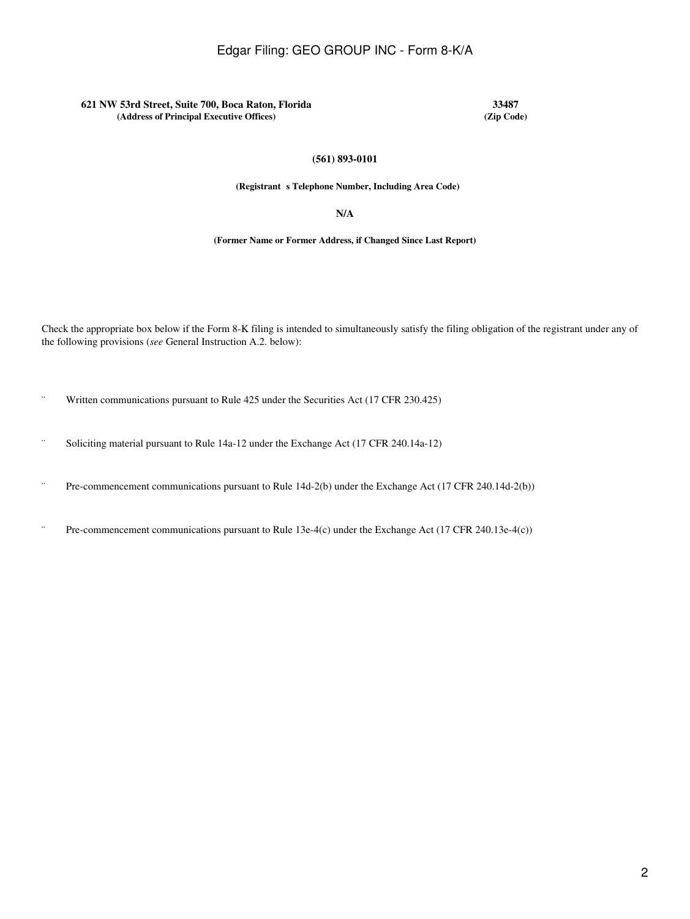#### **621 NW 53rd Street, Suite 700, Boca Raton, Florida 33487**  $(A$ ddress of Principal Executive Offices)

#### **(561) 893-0101**

**(Registrants Telephone Number, Including Area Code)**

**N/A**

**(Former Name or Former Address, if Changed Since Last Report)**

Check the appropriate box below if the Form 8-K filing is intended to simultaneously satisfy the filing obligation of the registrant under any of the following provisions (*see* General Instruction A.2. below):

¨ Written communications pursuant to Rule 425 under the Securities Act (17 CFR 230.425)

- ¨ Soliciting material pursuant to Rule 14a-12 under the Exchange Act (17 CFR 240.14a-12)
- ¨ Pre-commencement communications pursuant to Rule 14d-2(b) under the Exchange Act (17 CFR 240.14d-2(b))
- ¨ Pre-commencement communications pursuant to Rule 13e-4(c) under the Exchange Act (17 CFR 240.13e-4(c))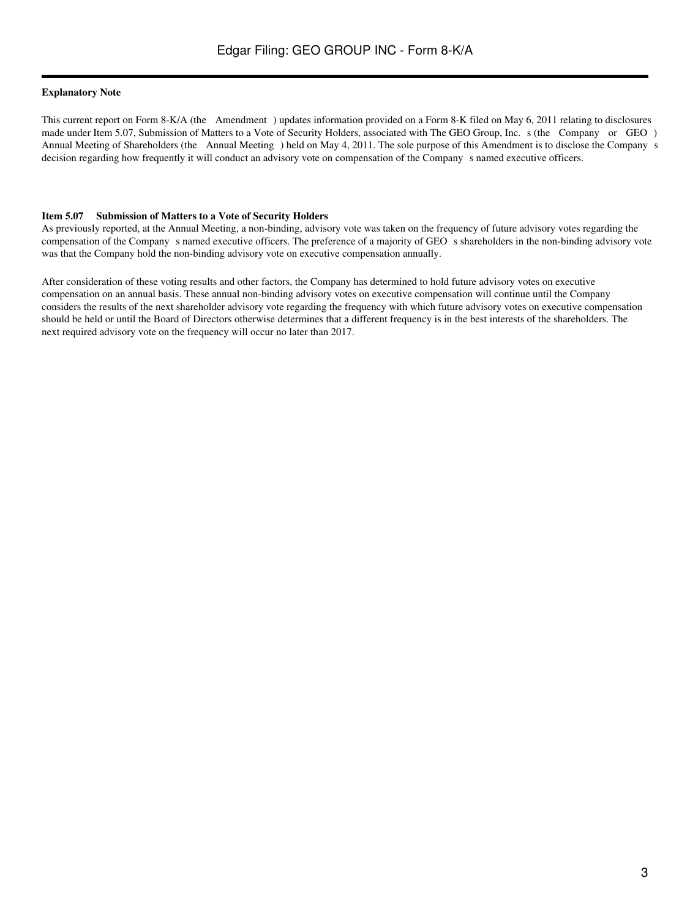### **Explanatory Note**

This current report on Form 8-K/A (the Amendment) updates information provided on a Form 8-K filed on May 6, 2011 relating to disclosures made under Item 5.07, Submission of Matters to a Vote of Security Holders, associated with The GEO Group, Inc. s (the Company or GEO) Annual Meeting of Shareholders (the Annual Meeting) held on May 4, 2011. The sole purpose of this Amendment is to disclose the Companys decision regarding how frequently it will conduct an advisory vote on compensation of the Company s named executive officers.

### **Item 5.07 Submission of Matters to a Vote of Security Holders**

As previously reported, at the Annual Meeting, a non-binding, advisory vote was taken on the frequency of future advisory votes regarding the compensation of the Company s named executive officers. The preference of a majority of GEO s shareholders in the non-binding advisory vote was that the Company hold the non-binding advisory vote on executive compensation annually.

After consideration of these voting results and other factors, the Company has determined to hold future advisory votes on executive compensation on an annual basis. These annual non-binding advisory votes on executive compensation will continue until the Company considers the results of the next shareholder advisory vote regarding the frequency with which future advisory votes on executive compensation should be held or until the Board of Directors otherwise determines that a different frequency is in the best interests of the shareholders. The next required advisory vote on the frequency will occur no later than 2017.